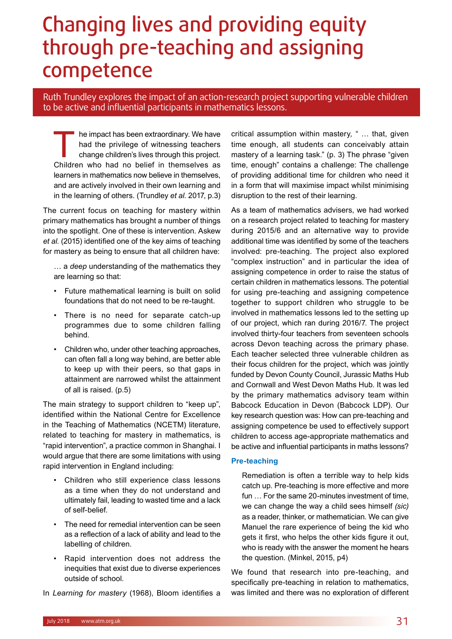## Changing lives and providing equity through pre-teaching and assigning competence

Ruth Trundley explores the impact of an action-research project supporting vulnerable children to be active and influential participants in mathematics lessons.

The impact has been extraordinary. We have<br>had the privilege of witnessing teachers<br>change children's lives through this project.<br>Children who had no belief in themselves as had the privilege of witnessing teachers change children's lives through this project. Children who had no belief in themselves as learners in mathematics now believe in themselves, and are actively involved in their own learning and in the learning of others. (Trundley *et al*. 2017, p.3)

The current focus on teaching for mastery within primary mathematics has brought a number of things into the spotlight. One of these is intervention. Askew *et al*. (2015) identified one of the key aims of teaching for mastery as being to ensure that all children have:

… a *deep* understanding of the mathematics they are learning so that:

- Future mathematical learning is built on solid foundations that do not need to be re-taught.
- There is no need for separate catch-up programmes due to some children falling behind.
- Children who, under other teaching approaches, can often fall a long way behind, are better able to keep up with their peers, so that gaps in attainment are narrowed whilst the attainment of all is raised. (p.5)

The main strategy to support children to "keep up". identified within the National Centre for Excellence in the Teaching of Mathematics (NCETM) literature, related to teaching for mastery in mathematics, is "rapid intervention", a practice common in Shanghai. I would argue that there are some limitations with using rapid intervention in England including:

- Children who still experience class lessons as a time when they do not understand and ultimately fail, leading to wasted time and a lack of self-belief.
- The need for remedial intervention can be seen as a reflection of a lack of ability and lead to the labelling of children.
- Rapid intervention does not address the inequities that exist due to diverse experiences outside of school.

In *Learning for mastery* (1968), Bloom identifies a

critical assumption within mastery*,* " … that, given time enough, all students can conceivably attain mastery of a learning task." (p. 3) The phrase "given time, enough" contains a challenge: The challenge of providing additional time for children who need it in a form that will maximise impact whilst minimising disruption to the rest of their learning.

As a team of mathematics advisers, we had worked on a research project related to teaching for mastery during 2015/6 and an alternative way to provide additional time was identified by some of the teachers involved: pre-teaching. The project also explored "complex instruction" and in particular the idea of assigning competence in order to raise the status of certain children in mathematics lessons. The potential for using pre-teaching and assigning competence together to support children who struggle to be involved in mathematics lessons led to the setting up of our project, which ran during 2016/7. The project involved thirty-four teachers from seventeen schools across Devon teaching across the primary phase. Each teacher selected three vulnerable children as their focus children for the project, which was jointly funded by Devon County Council, Jurassic Maths Hub and Cornwall and West Devon Maths Hub. It was led by the primary mathematics advisory team within Babcock Education in Devon (Babcock LDP). Our key research question was: How can pre-teaching and assigning competence be used to effectively support children to access age-appropriate mathematics and be active and influential participants in maths lessons?

#### **Pre-teaching**

Remediation is often a terrible way to help kids catch up. Pre-teaching is more effective and more fun … For the same 20-minutes investment of time, we can change the way a child sees himself *(sic)*  as a reader, thinker, or mathematician. We can give Manuel the rare experience of being the kid who gets it first, who helps the other kids figure it out, who is ready with the answer the moment he hears the question. (Minkel, 2015, p4)

We found that research into pre-teaching, and specifically pre-teaching in relation to mathematics, was limited and there was no exploration of different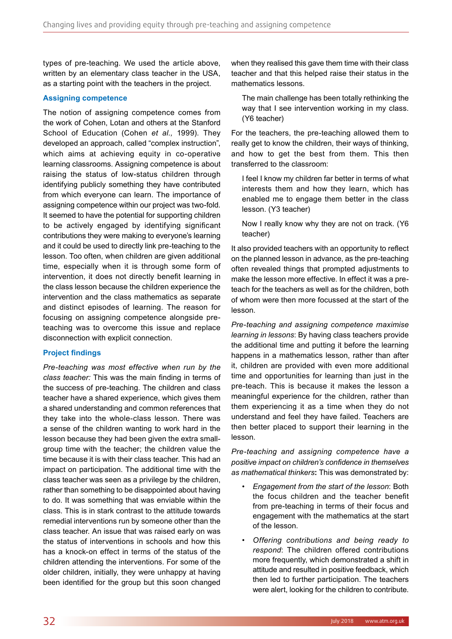types of pre-teaching. We used the article above, written by an elementary class teacher in the USA, as a starting point with the teachers in the project.

#### **Assigning competence**

The notion of assigning competence comes from the work of Cohen, Lotan and others at the Stanford School of Education (Cohen *et al.,* 1999). They developed an approach, called "complex instruction", which aims at achieving equity in co-operative learning classrooms. Assigning competence is about raising the status of low-status children through identifying publicly something they have contributed from which everyone can learn. The importance of assigning competence within our project was two-fold. It seemed to have the potential for supporting children to be actively engaged by identifying significant contributions they were making to everyone's learning and it could be used to directly link pre-teaching to the lesson. Too often, when children are given additional time, especially when it is through some form of intervention, it does not directly benefit learning in the class lesson because the children experience the intervention and the class mathematics as separate and distinct episodes of learning. The reason for focusing on assigning competence alongside preteaching was to overcome this issue and replace disconnection with explicit connection.

### **Project findings**

*Pre-teaching was most effective when run by the class teacher:* This was the main finding in terms of the success of pre-teaching. The children and class teacher have a shared experience, which gives them a shared understanding and common references that they take into the whole-class lesson. There was a sense of the children wanting to work hard in the lesson because they had been given the extra smallgroup time with the teacher; the children value the time because it is with their class teacher. This had an impact on participation. The additional time with the class teacher was seen as a privilege by the children, rather than something to be disappointed about having to do. It was something that was enviable within the class. This is in stark contrast to the attitude towards remedial interventions run by someone other than the class teacher. An issue that was raised early on was the status of interventions in schools and how this has a knock-on effect in terms of the status of the children attending the interventions. For some of the older children, initially, they were unhappy at having been identified for the group but this soon changed

when they realised this gave them time with their class teacher and that this helped raise their status in the mathematics lessons.

The main challenge has been totally rethinking the way that I see intervention working in my class. (Y6 teacher)

For the teachers, the pre-teaching allowed them to really get to know the children, their ways of thinking, and how to get the best from them. This then transferred to the classroom:

I feel I know my children far better in terms of what interests them and how they learn, which has enabled me to engage them better in the class lesson. (Y3 teacher)

Now I really know why they are not on track. (Y6 teacher)

It also provided teachers with an opportunity to reflect on the planned lesson in advance, as the pre-teaching often revealed things that prompted adjustments to make the lesson more effective. In effect it was a preteach for the teachers as well as for the children, both of whom were then more focussed at the start of the lesson.

*Pre-teaching and assigning competence maximise learning in lessons*: By having class teachers provide the additional time and putting it before the learning happens in a mathematics lesson, rather than after it, children are provided with even more additional time and opportunities for learning than just in the pre-teach. This is because it makes the lesson a meaningful experience for the children, rather than them experiencing it as a time when they do not understand and feel they have failed. Teachers are then better placed to support their learning in the lesson.

*Pre-teaching and assigning competence have a positive impact on children's confidence in themselves as mathematical thinkers***:** This was demonstrated by:

- *Engagement from the start of the lesson*: Both the focus children and the teacher benefit from pre-teaching in terms of their focus and engagement with the mathematics at the start of the lesson.
- *Offering contributions and being ready to respond*: The children offered contributions more frequently, which demonstrated a shift in attitude and resulted in positive feedback, which then led to further participation. The teachers were alert, looking for the children to contribute.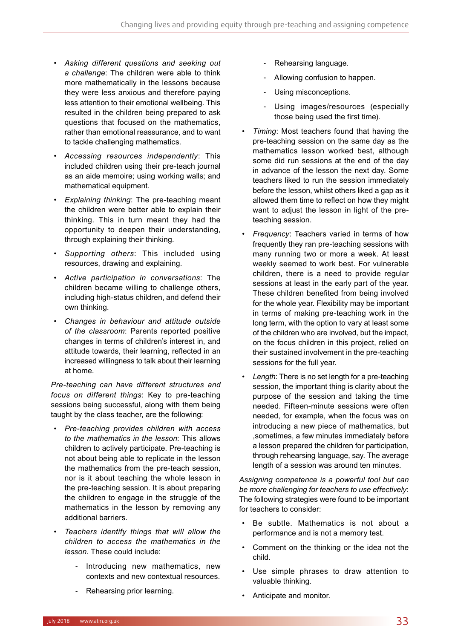- *Asking different questions and seeking out a challenge*: The children were able to think more mathematically in the lessons because they were less anxious and therefore paying less attention to their emotional wellbeing. This resulted in the children being prepared to ask questions that focused on the mathematics, rather than emotional reassurance, and to want to tackle challenging mathematics.
- *Accessing resources independently*: This included children using their pre-teach journal as an aide memoire; using working walls; and mathematical equipment.
- *Explaining thinking*: The pre-teaching meant the children were better able to explain their thinking. This in turn meant they had the opportunity to deepen their understanding, through explaining their thinking.
- *Supporting others*: This included using resources, drawing and explaining.
- *Active participation in conversations*: The children became willing to challenge others, including high-status children, and defend their own thinking.
- *Changes in behaviour and attitude outside of the classroom*: Parents reported positive changes in terms of children's interest in, and attitude towards, their learning, reflected in an increased willingness to talk about their learning at home.

*Pre-teaching can have different structures and focus on different things*: Key to pre-teaching sessions being successful, along with them being taught by the class teacher, are the following:

- *Pre-teaching provides children with access to the mathematics in the lesson*: This allows children to actively participate. Pre-teaching is not about being able to replicate in the lesson the mathematics from the pre-teach session, nor is it about teaching the whole lesson in the pre-teaching session. It is about preparing the children to engage in the struggle of the mathematics in the lesson by removing any additional barriers.
- *Teachers identify things that will allow the children to access the mathematics in the lesson.* These could include:
	- Introducing new mathematics, new contexts and new contextual resources.
	- Rehearsing prior learning.
- Rehearsing language.
- Allowing confusion to happen.
- Using misconceptions.
- Using images/resources (especially those being used the first time).
- *Timing*: Most teachers found that having the pre-teaching session on the same day as the mathematics lesson worked best, although some did run sessions at the end of the day in advance of the lesson the next day. Some teachers liked to run the session immediately before the lesson, whilst others liked a gap as it allowed them time to reflect on how they might want to adjust the lesson in light of the preteaching session.
- *Frequency*: Teachers varied in terms of how frequently they ran pre-teaching sessions with many running two or more a week. At least weekly seemed to work best. For vulnerable children, there is a need to provide regular sessions at least in the early part of the year. These children benefited from being involved for the whole year. Flexibility may be important in terms of making pre-teaching work in the long term, with the option to vary at least some of the children who are involved, but the impact, on the focus children in this project, relied on their sustained involvement in the pre-teaching sessions for the full year.
- Length: There is no set length for a pre-teaching session, the important thing is clarity about the purpose of the session and taking the time needed. Fifteen-minute sessions were often needed, for example, when the focus was on introducing a new piece of mathematics, but ,sometimes, a few minutes immediately before a lesson prepared the children for participation, through rehearsing language, say. The average length of a session was around ten minutes.

*Assigning competence is a powerful tool but can be more challenging for teachers to use effectively*: The following strategies were found to be important for teachers to consider:

- Be subtle. Mathematics is not about a performance and is not a memory test.
- Comment on the thinking or the idea not the child.
- Use simple phrases to draw attention to valuable thinking.
- Anticipate and monitor.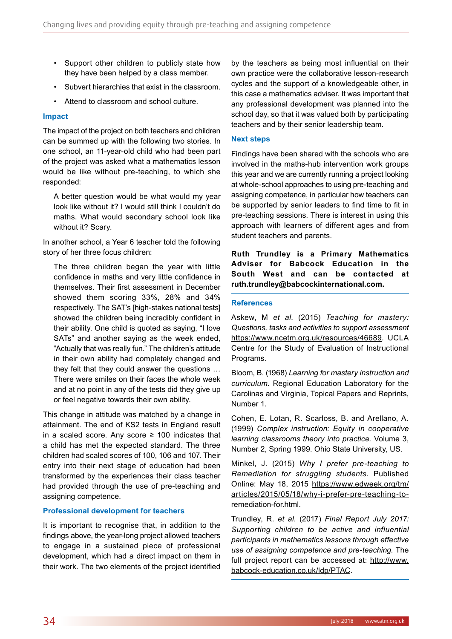- Support other children to publicly state how they have been helped by a class member.
- Subvert hierarchies that exist in the classroom.
- Attend to classroom and school culture.

#### **Impact**

The impact of the project on both teachers and children can be summed up with the following two stories. In one school, an 11-year-old child who had been part of the project was asked what a mathematics lesson would be like without pre-teaching, to which she responded:

A better question would be what would my year look like without it? I would still think I couldn't do maths. What would secondary school look like without it? Scary.

In another school, a Year 6 teacher told the following story of her three focus children:

The three children began the year with little confidence in maths and very little confidence in themselves. Their first assessment in December showed them scoring 33%, 28% and 34% respectively. The SAT's [high-stakes national tests] showed the children being incredibly confident in their ability. One child is quoted as saying, "I love SATs" and another saying as the week ended, "Actually that was really fun." The children's attitude in their own ability had completely changed and they felt that they could answer the questions … There were smiles on their faces the whole week and at no point in any of the tests did they give up or feel negative towards their own ability.

This change in attitude was matched by a change in attainment. The end of KS2 tests in England result in a scaled score. Any score  $\geq$  100 indicates that a child has met the expected standard. The three children had scaled scores of 100, 106 and 107. Their entry into their next stage of education had been transformed by the experiences their class teacher had provided through the use of pre-teaching and assigning competence.

#### **Professional development for teachers**

It is important to recognise that, in addition to the findings above, the year-long project allowed teachers to engage in a sustained piece of professional development, which had a direct impact on them in their work. The two elements of the project identified

by the teachers as being most influential on their own practice were the collaborative lesson-research cycles and the support of a knowledgeable other, in this case a mathematics adviser. It was important that any professional development was planned into the school day, so that it was valued both by participating teachers and by their senior leadership team.

#### **Next steps**

Findings have been shared with the schools who are involved in the maths-hub intervention work groups this year and we are currently running a project looking at whole-school approaches to using pre-teaching and assigning competence, in particular how teachers can be supported by senior leaders to find time to fit in pre-teaching sessions. There is interest in using this approach with learners of different ages and from student teachers and parents.

**Ruth Trundley is a Primary Mathematics Adviser for Babcock Education in the South West and can be contacted at ruth.trundley@babcockinternational.com.** 

#### **References**

Askew, M *et al*. (2015) *Teaching for mastery: Questions, tasks and activities to support assessment* https://www.ncetm.org.uk/resources/46689. UCLA Centre for the Study of Evaluation of Instructional Programs.

Bloom, B. (1968) *Learning for mastery instruction and curriculum*. Regional Education Laboratory for the Carolinas and Virginia, Topical Papers and Reprints, Number 1.

Cohen, E. Lotan, R. Scarloss, B. and Arellano, A. (1999) *Complex instruction: Equity in cooperative learning classrooms theory into practice.* Volume 3, Number 2, Spring 1999. Ohio State University, US.

Minkel, J. (2015) *Why I prefer pre-teaching to Remediation for struggling students.* Published Online: May 18, 2015 https://www.edweek.org/tm/ articles/2015/05/18/why-i-prefer-pre-teaching-toremediation-for.html.

Trundley, R. *et al*. (2017) *Final Report July 2017: Supporting children to be active and influential participants in mathematics lessons through effective use of assigning competence and pre-teaching.* The full project report can be accessed at: http://www. babcock-education.co.uk/ldp/PTAC.